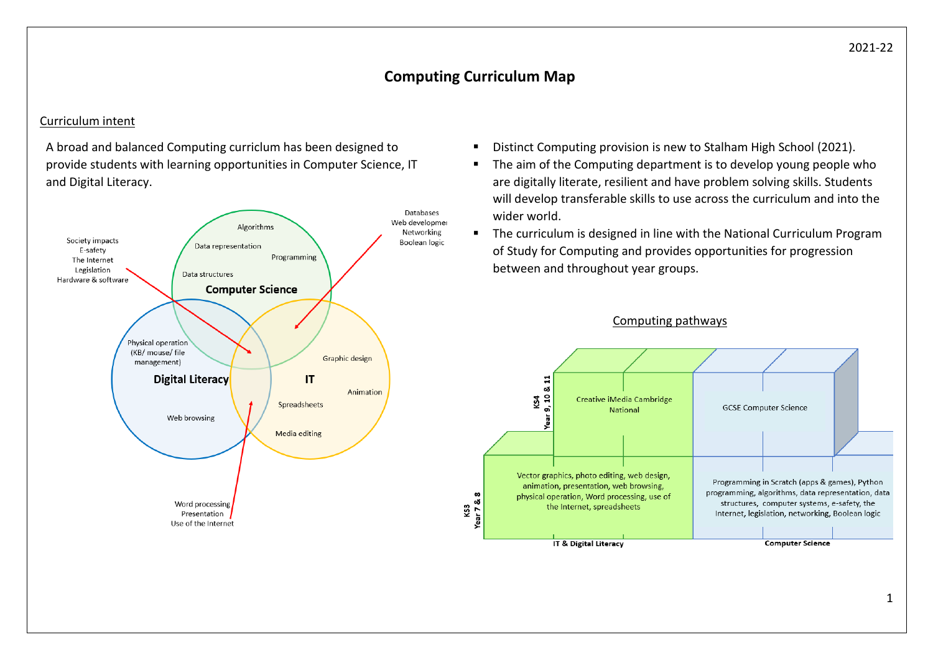## **Computing Curriculum Map**

## Curriculum intent

A broad and balanced Computing curriclum has been designed to provide students with learning opportunities in Computer Science, IT and Digital Literacy.



- Distinct Computing provision is new to Stalham High School (2021).
- The aim of the Computing department is to develop young people who are digitally literate, resilient and have problem solving skills. Students will develop transferable skills to use across the curriculum and into the wider world.
- The curriculum is designed in line with the National Curriculum Program of Study for Computing and provides opportunities for progression between and throughout year groups.

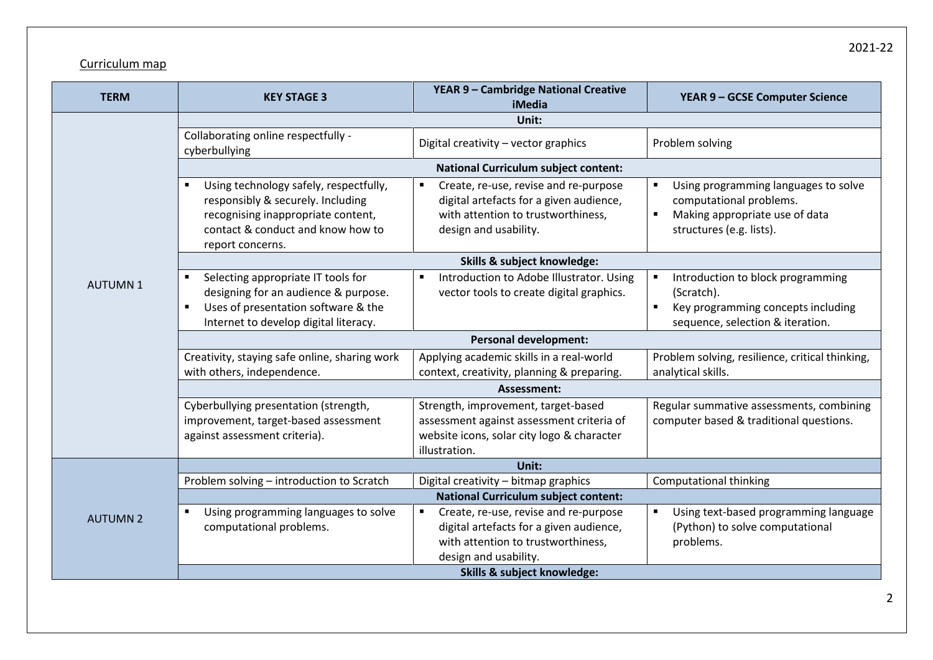## 2021-22

## Curriculum map

| <b>TERM</b>     | <b>KEY STAGE 3</b>                                                                                                                                                         | YEAR 9 - Cambridge National Creative<br><b>iMedia</b>                                                                                           | <b>YEAR 9 - GCSE Computer Science</b>                                                                                                                             |  |  |
|-----------------|----------------------------------------------------------------------------------------------------------------------------------------------------------------------------|-------------------------------------------------------------------------------------------------------------------------------------------------|-------------------------------------------------------------------------------------------------------------------------------------------------------------------|--|--|
|                 | Unit:                                                                                                                                                                      |                                                                                                                                                 |                                                                                                                                                                   |  |  |
|                 | Collaborating online respectfully -<br>cyberbullying                                                                                                                       | Digital creativity - vector graphics                                                                                                            | Problem solving                                                                                                                                                   |  |  |
|                 | <b>National Curriculum subject content:</b>                                                                                                                                |                                                                                                                                                 |                                                                                                                                                                   |  |  |
| <b>AUTUMN1</b>  | Using technology safely, respectfully,<br>responsibly & securely. Including<br>recognising inappropriate content,<br>contact & conduct and know how to<br>report concerns. | Create, re-use, revise and re-purpose<br>digital artefacts for a given audience,<br>with attention to trustworthiness,<br>design and usability. | Using programming languages to solve<br>$\blacksquare$<br>computational problems.<br>Making appropriate use of data<br>$\blacksquare$<br>structures (e.g. lists). |  |  |
|                 |                                                                                                                                                                            | Skills & subject knowledge:                                                                                                                     |                                                                                                                                                                   |  |  |
|                 | Selecting appropriate IT tools for<br>designing for an audience & purpose.<br>Uses of presentation software & the<br>٠<br>Internet to develop digital literacy.            | Introduction to Adobe Illustrator. Using<br>vector tools to create digital graphics.                                                            | Introduction to block programming<br>$\blacksquare$<br>(Scratch).<br>Key programming concepts including<br>$\blacksquare$<br>sequence, selection & iteration.     |  |  |
|                 | <b>Personal development:</b>                                                                                                                                               |                                                                                                                                                 |                                                                                                                                                                   |  |  |
|                 | Creativity, staying safe online, sharing work<br>with others, independence.                                                                                                | Applying academic skills in a real-world<br>context, creativity, planning & preparing.                                                          | Problem solving, resilience, critical thinking,<br>analytical skills.                                                                                             |  |  |
|                 | Assessment:                                                                                                                                                                |                                                                                                                                                 |                                                                                                                                                                   |  |  |
|                 | Cyberbullying presentation (strength,<br>improvement, target-based assessment<br>against assessment criteria).                                                             | Strength, improvement, target-based<br>assessment against assessment criteria of<br>website icons, solar city logo & character<br>illustration. | Regular summative assessments, combining<br>computer based & traditional questions.                                                                               |  |  |
| <b>AUTUMN 2</b> | Unit:                                                                                                                                                                      |                                                                                                                                                 |                                                                                                                                                                   |  |  |
|                 | Problem solving - introduction to Scratch                                                                                                                                  | Digital creativity - bitmap graphics                                                                                                            | <b>Computational thinking</b>                                                                                                                                     |  |  |
|                 | <b>National Curriculum subject content:</b>                                                                                                                                |                                                                                                                                                 |                                                                                                                                                                   |  |  |
|                 | Using programming languages to solve<br>computational problems.                                                                                                            | Create, re-use, revise and re-purpose<br>$\blacksquare$<br>digital artefacts for a given audience,                                              | Using text-based programming language<br>(Python) to solve computational                                                                                          |  |  |
|                 |                                                                                                                                                                            | with attention to trustworthiness,                                                                                                              | problems.                                                                                                                                                         |  |  |
|                 |                                                                                                                                                                            | design and usability.                                                                                                                           |                                                                                                                                                                   |  |  |
|                 | Skills & subject knowledge:                                                                                                                                                |                                                                                                                                                 |                                                                                                                                                                   |  |  |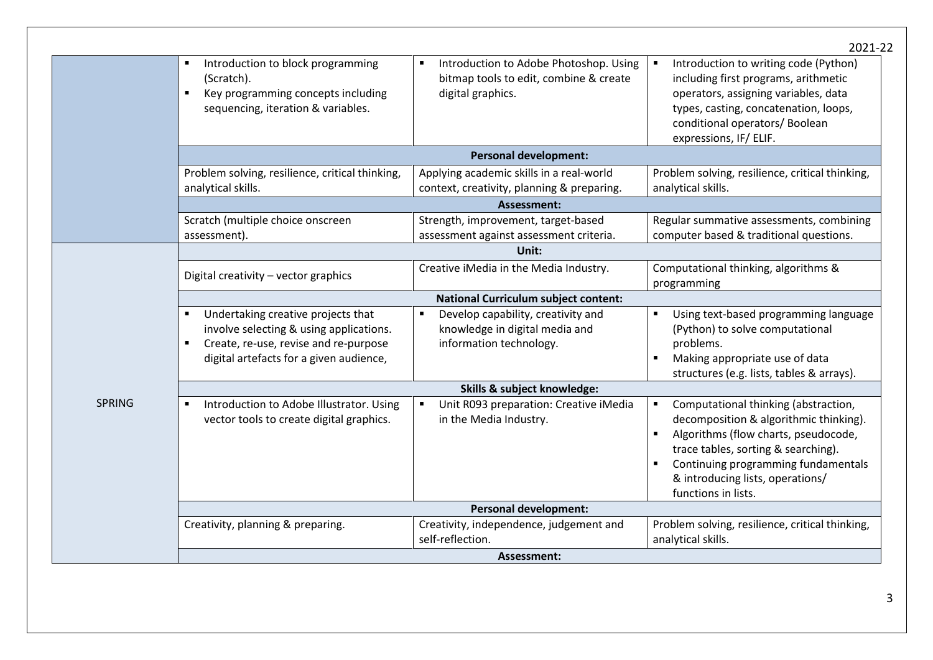|               |                                                                                                                                                                        |                                                                                                       | 2021-22                                                                                                                                                                                                                                                                           |  |  |
|---------------|------------------------------------------------------------------------------------------------------------------------------------------------------------------------|-------------------------------------------------------------------------------------------------------|-----------------------------------------------------------------------------------------------------------------------------------------------------------------------------------------------------------------------------------------------------------------------------------|--|--|
|               | Introduction to block programming<br>(Scratch).<br>Key programming concepts including<br>$\blacksquare$<br>sequencing, iteration & variables.                          | Introduction to Adobe Photoshop. Using<br>bitmap tools to edit, combine & create<br>digital graphics. | Introduction to writing code (Python)<br>including first programs, arithmetic<br>operators, assigning variables, data<br>types, casting, concatenation, loops,<br>conditional operators/ Boolean<br>expressions, IF/ ELIF.                                                        |  |  |
|               | <b>Personal development:</b>                                                                                                                                           |                                                                                                       |                                                                                                                                                                                                                                                                                   |  |  |
|               | Problem solving, resilience, critical thinking,<br>analytical skills.                                                                                                  | Applying academic skills in a real-world<br>context, creativity, planning & preparing.                | Problem solving, resilience, critical thinking,<br>analytical skills.                                                                                                                                                                                                             |  |  |
|               | <b>Assessment:</b>                                                                                                                                                     |                                                                                                       |                                                                                                                                                                                                                                                                                   |  |  |
|               | Scratch (multiple choice onscreen<br>assessment).                                                                                                                      | Strength, improvement, target-based<br>assessment against assessment criteria.                        | Regular summative assessments, combining<br>computer based & traditional questions.                                                                                                                                                                                               |  |  |
|               | Unit:                                                                                                                                                                  |                                                                                                       |                                                                                                                                                                                                                                                                                   |  |  |
|               | Digital creativity - vector graphics                                                                                                                                   | Creative iMedia in the Media Industry.                                                                | Computational thinking, algorithms &<br>programming                                                                                                                                                                                                                               |  |  |
|               | <b>National Curriculum subject content:</b>                                                                                                                            |                                                                                                       |                                                                                                                                                                                                                                                                                   |  |  |
|               | Undertaking creative projects that<br>involve selecting & using applications.<br>Create, re-use, revise and re-purpose<br>п<br>digital artefacts for a given audience, | Develop capability, creativity and<br>knowledge in digital media and<br>information technology.       | Using text-based programming language<br>(Python) to solve computational<br>problems.<br>Making appropriate use of data<br>structures (e.g. lists, tables & arrays).                                                                                                              |  |  |
|               | Skills & subject knowledge:                                                                                                                                            |                                                                                                       |                                                                                                                                                                                                                                                                                   |  |  |
| <b>SPRING</b> | Introduction to Adobe Illustrator. Using<br>vector tools to create digital graphics.                                                                                   | Unit R093 preparation: Creative iMedia<br>in the Media Industry.                                      | Computational thinking (abstraction,<br>$\blacksquare$<br>decomposition & algorithmic thinking).<br>Algorithms (flow charts, pseudocode,<br>trace tables, sorting & searching).<br>Continuing programming fundamentals<br>& introducing lists, operations/<br>functions in lists. |  |  |
|               | <b>Personal development:</b>                                                                                                                                           |                                                                                                       |                                                                                                                                                                                                                                                                                   |  |  |
|               | Creativity, planning & preparing.                                                                                                                                      | Creativity, independence, judgement and<br>self-reflection.                                           | Problem solving, resilience, critical thinking,<br>analytical skills.                                                                                                                                                                                                             |  |  |
|               | Assessment:                                                                                                                                                            |                                                                                                       |                                                                                                                                                                                                                                                                                   |  |  |